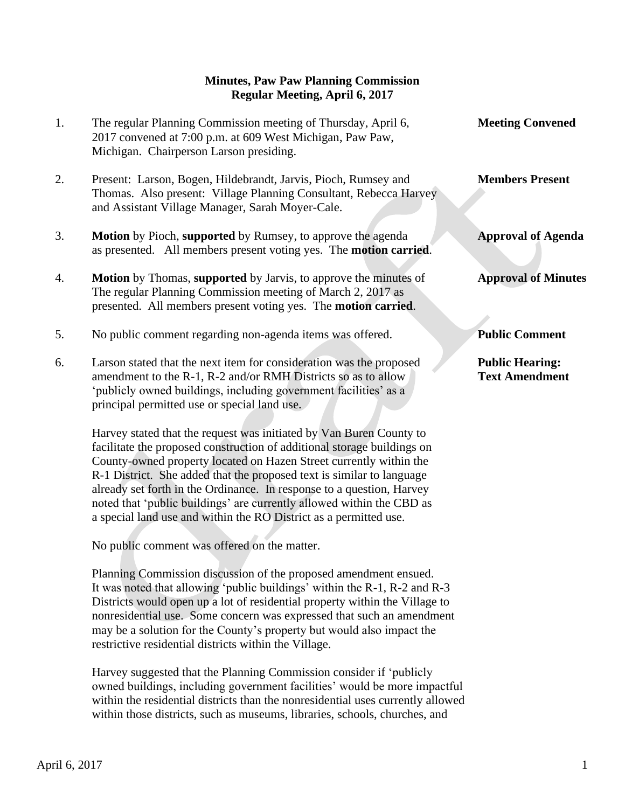## **Minutes, Paw Paw Planning Commission Regular Meeting, April 6, 2017**

- 1. The regular Planning Commission meeting of Thursday, April 6, **Meeting Convened** 2017 convened at 7:00 p.m. at 609 West Michigan, Paw Paw, Michigan. Chairperson Larson presiding.
- 2. Present: Larson, Bogen, Hildebrandt, Jarvis, Pioch, Rumsey and **Members Present** Thomas. Also present: Village Planning Consultant, Rebecca Harvey and Assistant Village Manager, Sarah Moyer-Cale.
- 3. **Motion** by Pioch, **supported** by Rumsey, to approve the agenda **Approval of Agenda** as presented. All members present voting yes. The **motion carried**.
- 4. **Motion** by Thomas, **supported** by Jarvis, to approve the minutes of **Approval of Minutes** The regular Planning Commission meeting of March 2, 2017 as presented. All members present voting yes. The **motion carried**.
- 5. No public comment regarding non-agenda items was offered. **Public Comment**
- 6. Larson stated that the next item for consideration was the proposed **Public Hearing:** amendment to the R-1, R-2 and/or RMH Districts so as to allow **Text Amendment** 'publicly owned buildings, including government facilities' as a principal permitted use or special land use.

 Harvey stated that the request was initiated by Van Buren County to facilitate the proposed construction of additional storage buildings on County-owned property located on Hazen Street currently within the R-1 District. She added that the proposed text is similar to language already set forth in the Ordinance. In response to a question, Harvey noted that 'public buildings' are currently allowed within the CBD as a special land use and within the RO District as a permitted use.

No public comment was offered on the matter.

 Planning Commission discussion of the proposed amendment ensued. It was noted that allowing 'public buildings' within the R-1, R-2 and R-3 Districts would open up a lot of residential property within the Village to nonresidential use. Some concern was expressed that such an amendment may be a solution for the County's property but would also impact the restrictive residential districts within the Village.

 Harvey suggested that the Planning Commission consider if 'publicly owned buildings, including government facilities' would be more impactful within the residential districts than the nonresidential uses currently allowed within those districts, such as museums, libraries, schools, churches, and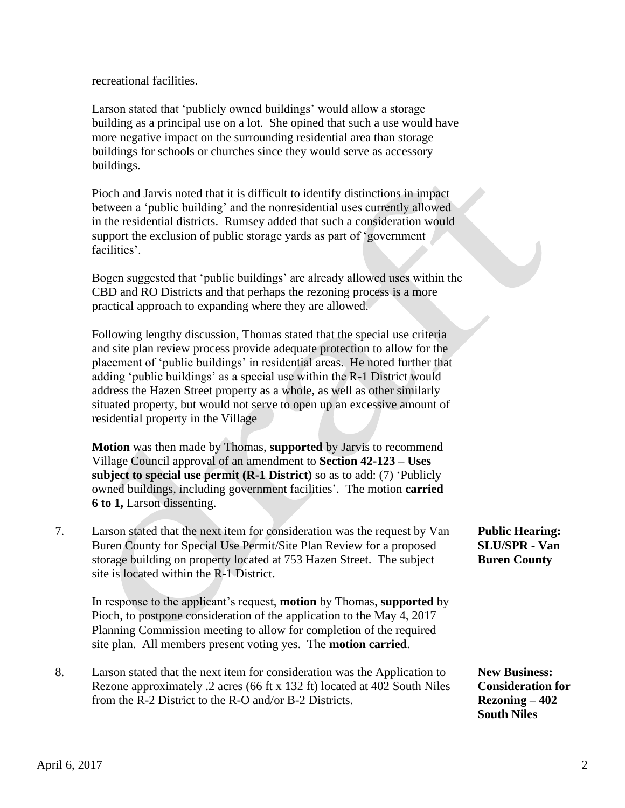recreational facilities.

 Larson stated that 'publicly owned buildings' would allow a storage building as a principal use on a lot. She opined that such a use would have more negative impact on the surrounding residential area than storage buildings for schools or churches since they would serve as accessory buildings.

 Pioch and Jarvis noted that it is difficult to identify distinctions in impact between a 'public building' and the nonresidential uses currently allowed in the residential districts. Rumsey added that such a consideration would support the exclusion of public storage yards as part of 'government facilities'.

 Bogen suggested that 'public buildings' are already allowed uses within the CBD and RO Districts and that perhaps the rezoning process is a more practical approach to expanding where they are allowed.

 Following lengthy discussion, Thomas stated that the special use criteria and site plan review process provide adequate protection to allow for the placement of 'public buildings' in residential areas. He noted further that adding 'public buildings' as a special use within the R-1 District would address the Hazen Street property as a whole, as well as other similarly situated property, but would not serve to open up an excessive amount of residential property in the Village

 **Motion** was then made by Thomas, **supported** by Jarvis to recommend Village Council approval of an amendment to **Section 42-123 – Uses subject to special use permit (R-1 District)** so as to add: (7) 'Publicly owned buildings, including government facilities'. The motion **carried 6 to 1,** Larson dissenting.

7. Larson stated that the next item for consideration was the request by Van **Public Hearing:** Buren County for Special Use Permit/Site Plan Review for a proposed **SLU/SPR - Van** storage building on property located at 753 Hazen Street. The subject **Buren County** site is located within the R-1 District.

In response to the applicant's request, **motion** by Thomas, **supported** by Pioch, to postpone consideration of the application to the May 4, 2017 Planning Commission meeting to allow for completion of the required site plan. All members present voting yes. The **motion carried**.

8. Larson stated that the next item for consideration was the Application to **New Business:** Rezone approximately .2 acres (66 ft x 132 ft) located at 402 South Niles **Consideration for**  from the R-2 District to the R-O and/or B-2 Districts. **Rezoning – 402** 

**South Niles**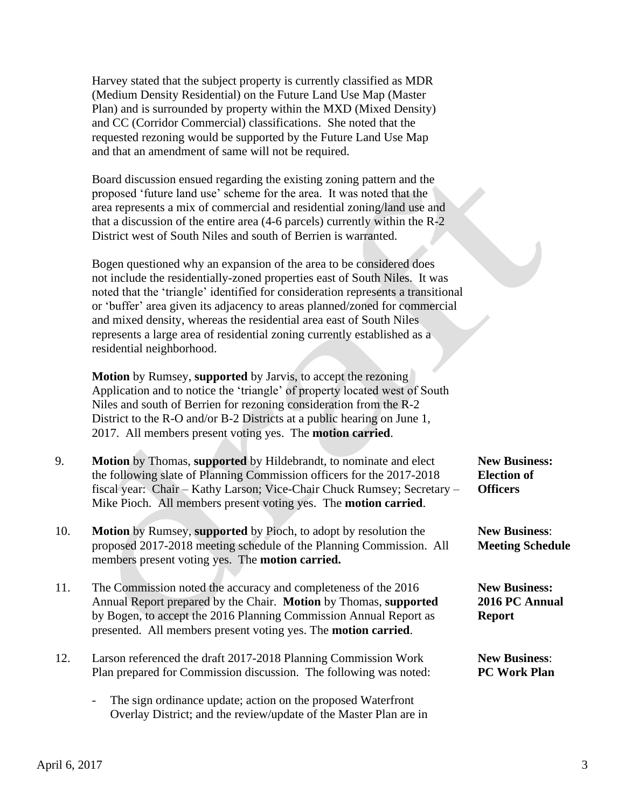Harvey stated that the subject property is currently classified as MDR (Medium Density Residential) on the Future Land Use Map (Master Plan) and is surrounded by property within the MXD (Mixed Density) and CC (Corridor Commercial) classifications. She noted that the requested rezoning would be supported by the Future Land Use Map and that an amendment of same will not be required.

 Board discussion ensued regarding the existing zoning pattern and the proposed 'future land use' scheme for the area. It was noted that the area represents a mix of commercial and residential zoning/land use and that a discussion of the entire area (4-6 parcels) currently within the R-2 District west of South Niles and south of Berrien is warranted.

 Bogen questioned why an expansion of the area to be considered does not include the residentially-zoned properties east of South Niles. It was noted that the 'triangle' identified for consideration represents a transitional or 'buffer' area given its adjacency to areas planned/zoned for commercial and mixed density, whereas the residential area east of South Niles represents a large area of residential zoning currently established as a residential neighborhood.

 **Motion** by Rumsey, **supported** by Jarvis, to accept the rezoning Application and to notice the 'triangle' of property located west of South Niles and south of Berrien for rezoning consideration from the R-2 District to the R-O and/or B-2 Districts at a public hearing on June 1, 2017. All members present voting yes. The **motion carried**.

- 9. **Motion** by Thomas, **supported** by Hildebrandt, to nominate and elect **New Business:** the following slate of Planning Commission officers for the 2017-2018 **Election of** fiscal year: Chair – Kathy Larson; Vice-Chair Chuck Rumsey; Secretary – **Officers** Mike Pioch. All members present voting yes. The **motion carried**.
- 10. **Motion** by Rumsey, **supported** by Pioch, to adopt by resolution the **New Business**: proposed 2017-2018 meeting schedule of the Planning Commission. All **Meeting Schedule** members present voting yes. The **motion carried.**
- 11. The Commission noted the accuracy and completeness of the 2016 **New Business:** Annual Report prepared by the Chair. **Motion** by Thomas, **supported 2016 PC Annual** by Bogen, to accept the 2016 Planning Commission Annual Report as **Report** presented. All members present voting yes. The **motion carried**.
- 12. Larson referenced the draft 2017-2018 Planning Commission Work **New Business**: Plan prepared for Commission discussion. The following was noted: **PC Work Plan**
	- The sign ordinance update; action on the proposed Waterfront Overlay District; and the review/update of the Master Plan are in